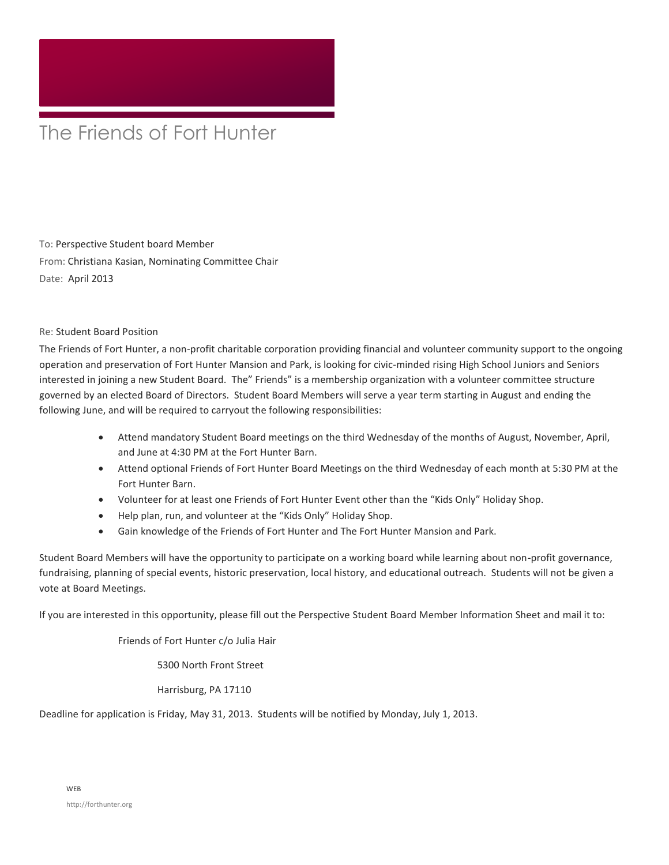## The Friends of Fort Hunter

To: Perspective Student board Member From: Christiana Kasian, Nominating Committee Chair Date: April 2013

Re: Student Board Position

The Friends of Fort Hunter, a non-profit charitable corporation providing financial and volunteer community support to the ongoing operation and preservation of Fort Hunter Mansion and Park, is looking for civic-minded rising High School Juniors and Seniors interested in joining a new Student Board. The" Friends" is a membership organization with a volunteer committee structure governed by an elected Board of Directors. Student Board Members will serve a year term starting in August and ending the following June, and will be required to carryout the following responsibilities:

- Attend mandatory Student Board meetings on the third Wednesday of the months of August, November, April, and June at 4:30 PM at the Fort Hunter Barn.
- Attend optional Friends of Fort Hunter Board Meetings on the third Wednesday of each month at 5:30 PM at the Fort Hunter Barn.
- Volunteer for at least one Friends of Fort Hunter Event other than the "Kids Only" Holiday Shop.
- Help plan, run, and volunteer at the "Kids Only" Holiday Shop.
- Gain knowledge of the Friends of Fort Hunter and The Fort Hunter Mansion and Park.

Student Board Members will have the opportunity to participate on a working board while learning about non-profit governance, fundraising, planning of special events, historic preservation, local history, and educational outreach. Students will not be given a vote at Board Meetings.

If you are interested in this opportunity, please fill out the Perspective Student Board Member Information Sheet and mail it to:

Friends of Fort Hunter c/o Julia Hair

5300 North Front Street

Harrisburg, PA 17110

Deadline for application is Friday, May 31, 2013. Students will be notified by Monday, July 1, 2013.